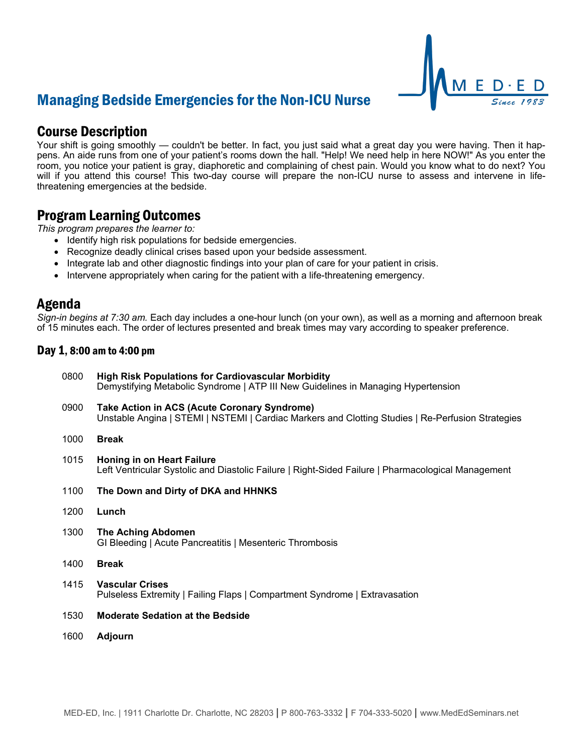## Managing Bedside Emergencies for the Non-ICU Nurse

# Course Description

Your shift is going smoothly — couldn't be better. In fact, you just said what a great day you were having. Then it happens. An aide runs from one of your patient's rooms down the hall. "Help! We need help in here NOW!" As you enter the room, you notice your patient is gray, diaphoretic and complaining of chest pain. Would you know what to do next? You will if you attend this course! This two-day course will prepare the non-ICU nurse to assess and intervene in lifethreatening emergencies at the bedside.

### Program Learning Outcomes

*This program prepares the learner to:*

- Identify high risk populations for bedside emergencies.
- Recognize deadly clinical crises based upon your bedside assessment.
- Integrate lab and other diagnostic findings into your plan of care for your patient in crisis.
- Intervene appropriately when caring for the patient with a life-threatening emergency.

### Agenda

*Sign-in begins at 7:30 am.* Each day includes a one-hour lunch (on your own), as well as a morning and afternoon break of 15 minutes each. The order of lectures presented and break times may vary according to speaker preference.

### Day 1, 8:00 am to 4:00 pm

| 0800 | <b>High Risk Populations for Cardiovascular Morbidity</b><br>Demystifying Metabolic Syndrome   ATP III New Guidelines in Managing Hypertension    |
|------|---------------------------------------------------------------------------------------------------------------------------------------------------|
| 0900 | Take Action in ACS (Acute Coronary Syndrome)<br>Unstable Angina   STEMI   NSTEMI   Cardiac Markers and Clotting Studies   Re-Perfusion Strategies |
| 1000 | <b>Break</b>                                                                                                                                      |
| 1015 | <b>Honing in on Heart Failure</b><br>Left Ventricular Systolic and Diastolic Failure   Right-Sided Failure   Pharmacological Management           |
| 1100 | The Down and Dirty of DKA and HHNKS                                                                                                               |
| 1200 | Lunch                                                                                                                                             |
| 1300 | <b>The Aching Abdomen</b><br>GI Bleeding   Acute Pancreatitis   Mesenteric Thrombosis                                                             |
| 1400 | <b>Break</b>                                                                                                                                      |
| 1415 | <b>Vascular Crises</b><br>Pulseless Extremity   Failing Flaps   Compartment Syndrome   Extravasation                                              |
| 1530 | <b>Moderate Sedation at the Bedside</b>                                                                                                           |
| 1600 | Adjourn                                                                                                                                           |